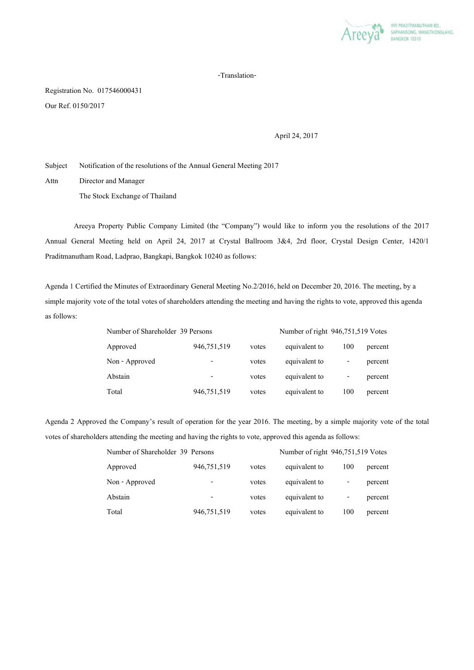

## -Translation-

Registration No. 017546000431 Our Ref. 0150/2017

April 24, 2017

Subject Notification of the resolutions of the Annual General Meeting 2017

Attn Director and Manager The Stock Exchange of Thailand

 Areeya Property Public Company Limited (the "Company") would like to inform you the resolutions of the 2017 Annual General Meeting held on April 24, 2017 at Crystal Ballroom 3&4, 2rd floor, Crystal Design Center, 1420/1 Praditmanutham Road, Ladprao, Bangkapi, Bangkok 10240 as follows:

Agenda 1 Certified the Minutes of Extraordinary General Meeting No.2/2016, held on December 20, 2016. The meeting, by a simple majority vote of the total votes of shareholders attending the meeting and having the rights to vote, approved this agenda as follows:

| Number of Shareholder 39 Persons |             |       | Number of right 946,751,519 Votes |     |         |
|----------------------------------|-------------|-------|-----------------------------------|-----|---------|
| Approved                         | 946,751,519 | votes | equivalent to                     | 100 | percent |
| Non - Approved                   | -           | votes | equivalent to                     | -   | percent |
| Abstain                          |             | votes | equivalent to                     | -   | percent |
| Total                            | 946,751,519 | votes | equivalent to                     | 100 | percent |

Agenda 2 Approved the Company's result of operation for the year 2016. The meeting, by a simple majority vote of the total votes of shareholders attending the meeting and having the rights to vote, approved this agenda as follows:

| Number of Shareholder 39 Persons |             |       | Number of right 946,751,519 Votes |     |         |
|----------------------------------|-------------|-------|-----------------------------------|-----|---------|
| Approved                         | 946,751,519 | votes | equivalent to                     | 100 | percent |
| Non - Approved                   |             | votes | equivalent to                     | -   | percent |
| Abstain                          |             | votes | equivalent to                     | -   | percent |
| Total                            | 946,751,519 | votes | equivalent to                     | 100 | percent |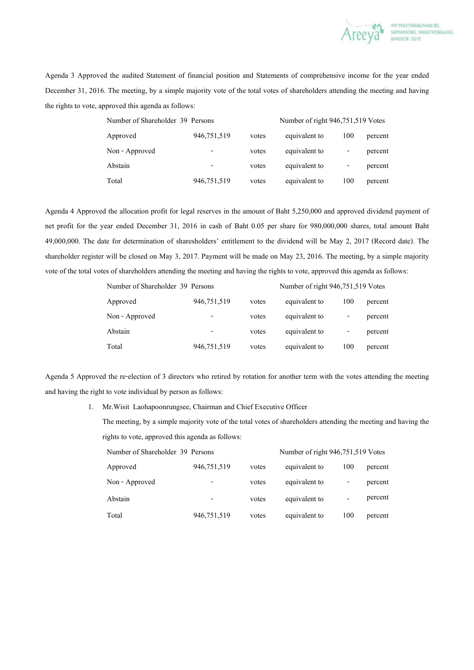

Agenda 3 Approved the audited Statement of financial position and Statements of comprehensive income for the year ended December 31, 2016. The meeting, by a simple majority vote of the total votes of shareholders attending the meeting and having the rights to vote, approved this agenda as follows:

| Number of Shareholder 39 Persons |             |       | Number of right 946,751,519 Votes |     |         |
|----------------------------------|-------------|-------|-----------------------------------|-----|---------|
| Approved                         | 946,751,519 | votes | equivalent to                     | 100 | percent |
| Non - Approved                   |             | votes | equivalent to                     |     | percent |
| Abstain                          |             | votes | equivalent to                     | -   | percent |
| Total                            | 946,751,519 | votes | equivalent to                     | 100 | percent |

Agenda 4 Approved the allocation profit for legal reserves in the amount of Baht 5,250,000 and approved dividend payment of net profit for the year ended December 31, 2016 in cash of Baht 0.05 per share for 980,000,000 shares, total amount Baht 49,000,000. The date for determination of sharesholders' entitlement to the dividend will be May 2, 2017 (Record date). The shareholder register will be closed on May 3, 2017. Payment will be made on May 23, 2016. The meeting, by a simple majority vote of the total votes of shareholders attending the meeting and having the rights to vote, approved this agenda as follows:

| Number of Shareholder 39 Persons |                          |       | Number of right 946,751,519 Votes |     |         |
|----------------------------------|--------------------------|-------|-----------------------------------|-----|---------|
| Approved                         | 946,751,519              | votes | equivalent to                     | 100 | percent |
| Non - Approved                   | $\overline{\phantom{0}}$ | votes | equivalent to                     | -   | percent |
| Abstain                          |                          | votes | equivalent to                     | -   | percent |
| Total                            | 946,751,519              | votes | equivalent to                     | 100 | percent |

Agenda 5 Approved the re-election of 3 directors who retired by rotation for another term with the votes attending the meeting and having the right to vote individual by person as follows:

1. Mr.Wisit Laohapoonrungsee, Chairman and Chief Executive Officer

The meeting, by a simple majority vote of the total votes of shareholders attending the meeting and having the rights to vote, approved this agenda as follows:

| Number of Shareholder 39 Persons |             |       | Number of right 946,751,519 Votes |     |         |
|----------------------------------|-------------|-------|-----------------------------------|-----|---------|
| Approved                         | 946,751,519 | votes | equivalent to                     | 100 | percent |
| Non - Approved                   |             | votes | equivalent to                     |     | percent |
| Abstain                          | -           | votes | equivalent to                     |     | percent |
| Total                            | 946,751,519 | votes | equivalent to                     | 100 | percent |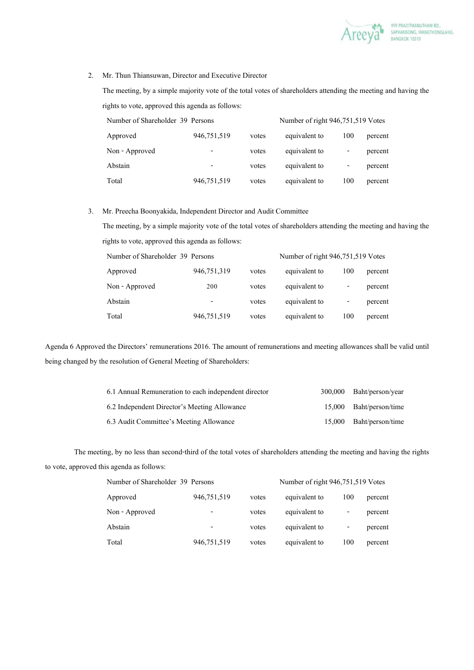

## 2. Mr. Thun Thiansuwan, Director and Executive Director

The meeting, by a simple majority vote of the total votes of shareholders attending the meeting and having the rights to vote, approved this agenda as follows:

| Number of Shareholder 39 Persons |             |       | Number of right 946,751,519 Votes |     |         |
|----------------------------------|-------------|-------|-----------------------------------|-----|---------|
| Approved                         | 946,751,519 | votes | equivalent to                     | 100 | percent |
| Non - Approved                   |             | votes | equivalent to                     | -   | percent |
| Abstain                          |             | votes | equivalent to                     | -   | percent |
| Total                            | 946,751,519 | votes | equivalent to                     | 100 | percent |

## 3. Mr. Preecha Boonyakida, Independent Director and Audit Committee

The meeting, by a simple majority vote of the total votes of shareholders attending the meeting and having the rights to vote, approved this agenda as follows:

| Number of Shareholder 39 Persons |                          |       | Number of right 946,751,519 Votes |     |         |  |
|----------------------------------|--------------------------|-------|-----------------------------------|-----|---------|--|
| Approved                         | 946,751,319              | votes | equivalent to                     | 100 | percent |  |
| Non - Approved                   | 200                      | votes | equivalent to                     | -   | percent |  |
| Abstain                          | $\overline{\phantom{0}}$ | votes | equivalent to                     | -   | percent |  |
| Total                            | 946,751,519              | votes | equivalent to                     | 100 | percent |  |

Agenda 6 Approved the Directors' remunerations 2016. The amount of remunerations and meeting allowances shall be valid until being changed by the resolution of General Meeting of Shareholders:

| 6.1 Annual Remuneration to each independent director | 300,000 | Baht/person/year        |
|------------------------------------------------------|---------|-------------------------|
| 6.2 Independent Director's Meeting Allowance         |         | 15,000 Baht/person/time |
| 6.3 Audit Committee's Meeting Allowance              |         | 15,000 Baht/person/time |

 The meeting, by no less than second-third of the total votes of shareholders attending the meeting and having the rights to vote, approved this agenda as follows:

| Number of Shareholder 39 Persons |             |       | Number of right 946,751,519 Votes |     |         |
|----------------------------------|-------------|-------|-----------------------------------|-----|---------|
| Approved                         | 946,751,519 | votes | equivalent to                     | 100 | percent |
| Non - Approved                   | -           | votes | equivalent to                     | -   | percent |
| Abstain                          |             | votes | equivalent to                     | -   | percent |
| Total                            | 946,751,519 | votes | equivalent to                     | 100 | percent |